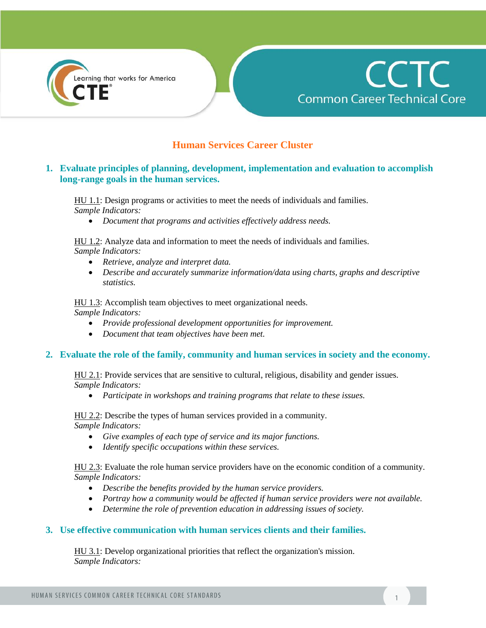



## **Human Services Career Cluster**

## **1. Evaluate principles of planning, development, implementation and evaluation to accomplish long-range goals in the human services.**

HU 1.1: Design programs or activities to meet the needs of individuals and families. *Sample Indicators:*

*Document that programs and activities effectively address needs.*

HU 1.2: Analyze data and information to meet the needs of individuals and families. *Sample Indicators:*

- *Retrieve, analyze and interpret data.*
- *Describe and accurately summarize information/data using charts, graphs and descriptive statistics.*

HU 1.3: Accomplish team objectives to meet organizational needs. *Sample Indicators:*

- *Provide professional development opportunities for improvement.*
- *Document that team objectives have been met.*

#### **2. Evaluate the role of the family, community and human services in society and the economy.**

HU 2.1: Provide services that are sensitive to cultural, religious, disability and gender issues. *Sample Indicators:*

*Participate in workshops and training programs that relate to these issues.*

HU 2.2: Describe the types of human services provided in a community. *Sample Indicators:*

- *Give examples of each type of service and its major functions.*
- *Identify specific occupations within these services.*

HU 2.3: Evaluate the role human service providers have on the economic condition of a community. *Sample Indicators:*

- *Describe the benefits provided by the human service providers.*
- *Portray how a community would be affected if human service providers were not available.*
- *Determine the role of prevention education in addressing issues of society.*

#### **3. Use effective communication with human services clients and their families.**

HU 3.1: Develop organizational priorities that reflect the organization's mission. *Sample Indicators:*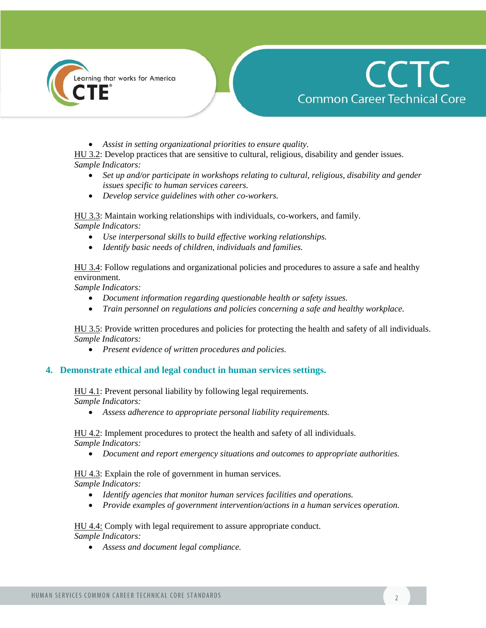



*Assist in setting organizational priorities to ensure quality.*

HU 3.2: Develop practices that are sensitive to cultural, religious, disability and gender issues. *Sample Indicators:*

- *Set up and/or participate in workshops relating to cultural, religious, disability and gender issues specific to human services careers.*
- *Develop service guidelines with other co-workers.*

HU 3.3: Maintain working relationships with individuals, co-workers, and family. *Sample Indicators:*

- *Use interpersonal skills to build effective working relationships.*
- *Identify basic needs of children, individuals and families.*

HU 3.4: Follow regulations and organizational policies and procedures to assure a safe and healthy environment.

*Sample Indicators:*

- *Document information regarding questionable health or safety issues.*
- *Train personnel on regulations and policies concerning a safe and healthy workplace.*

HU 3.5: Provide written procedures and policies for protecting the health and safety of all individuals. *Sample Indicators:*

*Present evidence of written procedures and policies.*

#### **4. Demonstrate ethical and legal conduct in human services settings.**

HU 4.1: Prevent personal liability by following legal requirements. *Sample Indicators:*

*Assess adherence to appropriate personal liability requirements.*

HU 4.2: Implement procedures to protect the health and safety of all individuals. *Sample Indicators:*

*Document and report emergency situations and outcomes to appropriate authorities.*

HU 4.3: Explain the role of government in human services.

*Sample Indicators:*

- *Identify agencies that monitor human services facilities and operations.*
- *Provide examples of government intervention/actions in a human services operation.*

HU 4.4: Comply with legal requirement to assure appropriate conduct. *Sample Indicators:*

*Assess and document legal compliance.*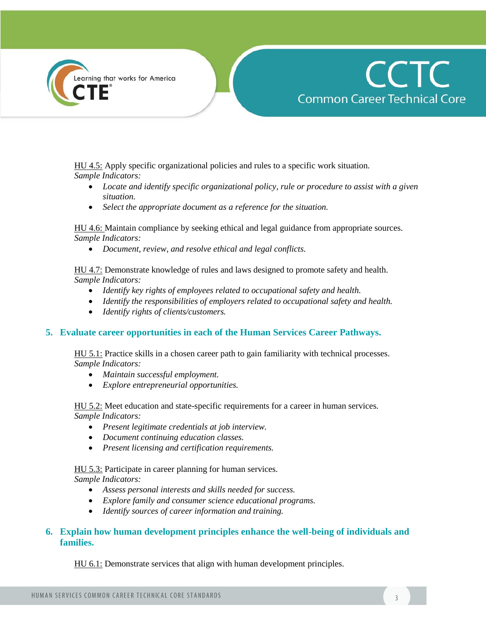



HU 4.5: Apply specific organizational policies and rules to a specific work situation. *Sample Indicators:*

- *Locate and identify specific organizational policy, rule or procedure to assist with a given situation.*
- *Select the appropriate document as a reference for the situation.*

HU 4.6: Maintain compliance by seeking ethical and legal guidance from appropriate sources. *Sample Indicators:*

*Document, review, and resolve ethical and legal conflicts.*

HU 4.7: Demonstrate knowledge of rules and laws designed to promote safety and health. *Sample Indicators:*

- *Identify key rights of employees related to occupational safety and health.*
- *Identify the responsibilities of employers related to occupational safety and health.*
- *Identify rights of clients/customers.*

#### **5. Evaluate career opportunities in each of the Human Services Career Pathways.**

HU 5.1: Practice skills in a chosen career path to gain familiarity with technical processes. *Sample Indicators:*

- *Maintain successful employment.*
- *Explore entrepreneurial opportunities.*

HU 5.2: Meet education and state-specific requirements for a career in human services. *Sample Indicators:*

- *Present legitimate credentials at job interview.*
- *Document continuing education classes.*
- *Present licensing and certification requirements.*

HU 5.3: Participate in career planning for human services.

*Sample Indicators:*

- *Assess personal interests and skills needed for success.*
- *Explore family and consumer science educational programs.*
- *Identify sources of career information and training.*

## **6. Explain how human development principles enhance the well-being of individuals and families.**

HU 6.1: Demonstrate services that align with human development principles.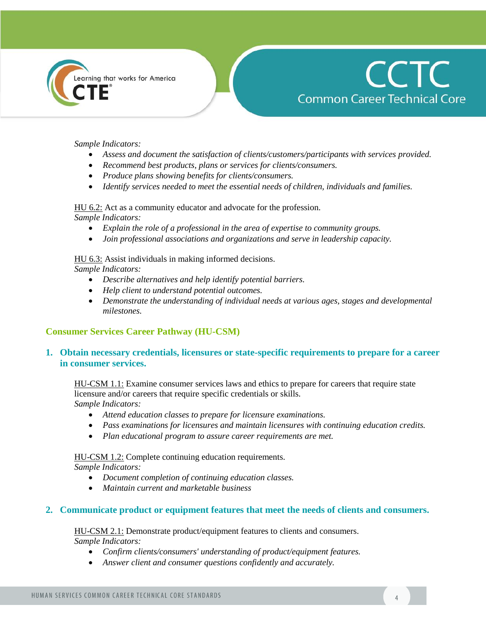



#### *Sample Indicators:*

- *Assess and document the satisfaction of clients/customers/participants with services provided.*
- *Recommend best products, plans or services for clients/consumers.*
- *Produce plans showing benefits for clients/consumers.*
- *Identify services needed to meet the essential needs of children, individuals and families.*

HU 6.2: Act as a community educator and advocate for the profession.

*Sample Indicators:*

- *Explain the role of a professional in the area of expertise to community groups.*
- *Join professional associations and organizations and serve in leadership capacity.*

#### HU 6.3: Assist individuals in making informed decisions.

*Sample Indicators:*

- *Describe alternatives and help identify potential barriers.*
- *Help client to understand potential outcomes.*
- *Demonstrate the understanding of individual needs at various ages, stages and developmental milestones.*

## **Consumer Services Career Pathway (HU-CSM)**

## **1. Obtain necessary credentials, licensures or state-specific requirements to prepare for a career in consumer services.**

HU-CSM 1.1: Examine consumer services laws and ethics to prepare for careers that require state licensure and/or careers that require specific credentials or skills. *Sample Indicators:*

- *Attend education classes to prepare for licensure examinations.*
- *Pass examinations for licensures and maintain licensures with continuing education credits.*
- *Plan educational program to assure career requirements are met.*

#### HU-CSM 1.2: Complete continuing education requirements.

*Sample Indicators:*

- *Document completion of continuing education classes.*
- *Maintain current and marketable business*

#### **2. Communicate product or equipment features that meet the needs of clients and consumers.**

HU-CSM 2.1: Demonstrate product/equipment features to clients and consumers. *Sample Indicators:*

- *Confirm clients/consumers' understanding of product/equipment features.*
- *Answer client and consumer questions confidently and accurately.*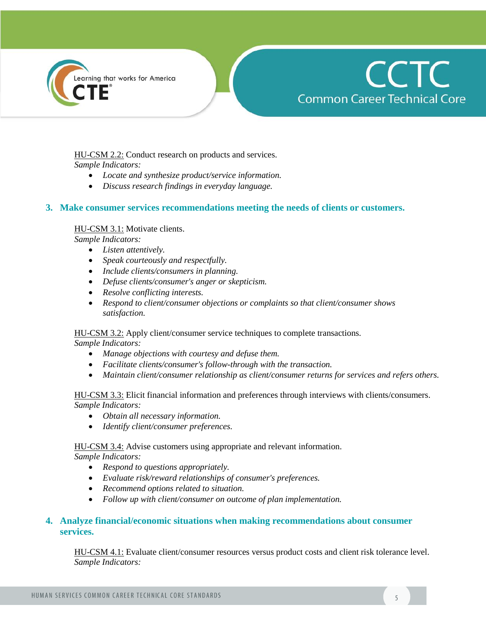



HU-CSM 2.2: Conduct research on products and services. *Sample Indicators:*

- *Locate and synthesize product/service information.*
- *Discuss research findings in everyday language.*

#### **3. Make consumer services recommendations meeting the needs of clients or customers.**

#### HU-CSM 3.1: Motivate clients.

*Sample Indicators:*

- *Listen attentively.*
- *Speak courteously and respectfully.*
- *Include clients/consumers in planning.*
- *Defuse clients/consumer's anger or skepticism.*
- *Resolve conflicting interests.*
- *Respond to client/consumer objections or complaints so that client/consumer shows satisfaction.*

#### HU-CSM 3.2: Apply client/consumer service techniques to complete transactions.

*Sample Indicators:*

- *Manage objections with courtesy and defuse them.*
- *Facilitate clients/consumer's follow-through with the transaction.*
- *Maintain client/consumer relationship as client/consumer returns for services and refers others.*

#### HU-CSM 3.3: Elicit financial information and preferences through interviews with clients/consumers. *Sample Indicators:*

- *Obtain all necessary information.*
- *Identify client/consumer preferences.*

HU-CSM 3.4: Advise customers using appropriate and relevant information. *Sample Indicators:*

- *Respond to questions appropriately.*
- *Evaluate risk/reward relationships of consumer's preferences.*
- *Recommend options related to situation.*
- *Follow up with client/consumer on outcome of plan implementation.*

## **4. Analyze financial/economic situations when making recommendations about consumer services.**

HU-CSM 4.1: Evaluate client/consumer resources versus product costs and client risk tolerance level. *Sample Indicators:*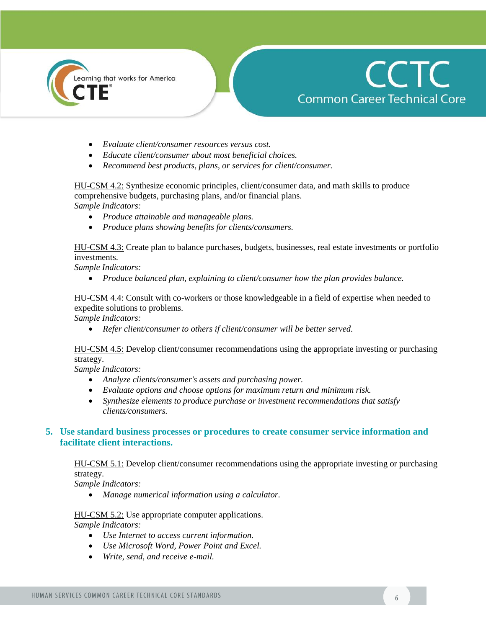



- *Evaluate client/consumer resources versus cost.*
- *Educate client/consumer about most beneficial choices.*
- *Recommend best products, plans, or services for client/consumer.*

HU-CSM 4.2: Synthesize economic principles, client/consumer data, and math skills to produce comprehensive budgets, purchasing plans, and/or financial plans. *Sample Indicators:*

*Produce attainable and manageable plans.*

*Produce plans showing benefits for clients/consumers.*

HU-CSM 4.3: Create plan to balance purchases, budgets, businesses, real estate investments or portfolio investments.

*Sample Indicators:*

*Produce balanced plan, explaining to client/consumer how the plan provides balance.*

HU-CSM 4.4: Consult with co-workers or those knowledgeable in a field of expertise when needed to expedite solutions to problems.

*Sample Indicators:*

*Refer client/consumer to others if client/consumer will be better served.*

HU-CSM 4.5: Develop client/consumer recommendations using the appropriate investing or purchasing strategy.

*Sample Indicators:*

- *Analyze clients/consumer's assets and purchasing power.*
- *Evaluate options and choose options for maximum return and minimum risk.*
- *Synthesize elements to produce purchase or investment recommendations that satisfy clients/consumers.*

## **5. Use standard business processes or procedures to create consumer service information and facilitate client interactions.**

HU-CSM 5.1: Develop client/consumer recommendations using the appropriate investing or purchasing strategy.

*Sample Indicators:*

*Manage numerical information using a calculator.*

HU-CSM 5.2: Use appropriate computer applications. *Sample Indicators:*

- *Use Internet to access current information.*
- *Use Microsoft Word, Power Point and Excel.*
- *Write, send, and receive e-mail.*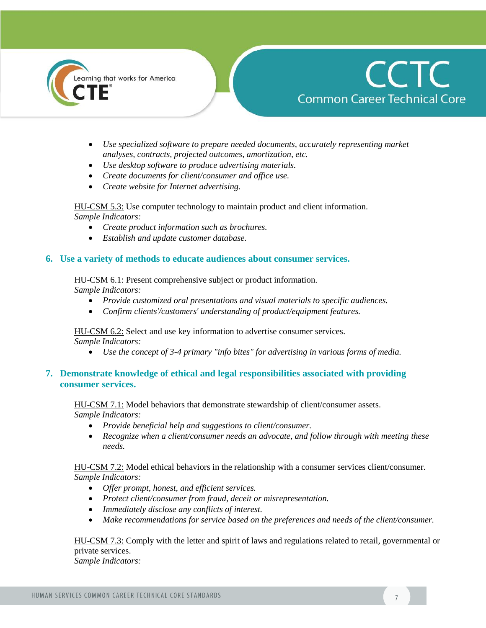



- *Use specialized software to prepare needed documents, accurately representing market analyses, contracts, projected outcomes, amortization, etc.*
- *Use desktop software to produce advertising materials.*
- *Create documents for client/consumer and office use.*
- *Create website for Internet advertising.*

HU-CSM 5.3: Use computer technology to maintain product and client information. *Sample Indicators:*

- *Create product information such as brochures.*
- *Establish and update customer database.*

#### **6. Use a variety of methods to educate audiences about consumer services.**

HU-CSM 6.1: Present comprehensive subject or product information.

*Sample Indicators:*

- *Provide customized oral presentations and visual materials to specific audiences.*
- *Confirm clients'/customers' understanding of product/equipment features.*

HU-CSM 6.2: Select and use key information to advertise consumer services. *Sample Indicators:*

*Use the concept of 3-4 primary "info bites" for advertising in various forms of media.*

## **7. Demonstrate knowledge of ethical and legal responsibilities associated with providing consumer services.**

HU-CSM 7.1: Model behaviors that demonstrate stewardship of client/consumer assets. *Sample Indicators:*

- *Provide beneficial help and suggestions to client/consumer.*
- *Recognize when a client/consumer needs an advocate, and follow through with meeting these needs.*

HU-CSM 7.2: Model ethical behaviors in the relationship with a consumer services client/consumer. *Sample Indicators:*

- *Offer prompt, honest, and efficient services.*
- *Protect client/consumer from fraud, deceit or misrepresentation.*
- *Immediately disclose any conflicts of interest.*
- *Make recommendations for service based on the preferences and needs of the client/consumer.*

HU-CSM 7.3: Comply with the letter and spirit of laws and regulations related to retail, governmental or private services. *Sample Indicators:*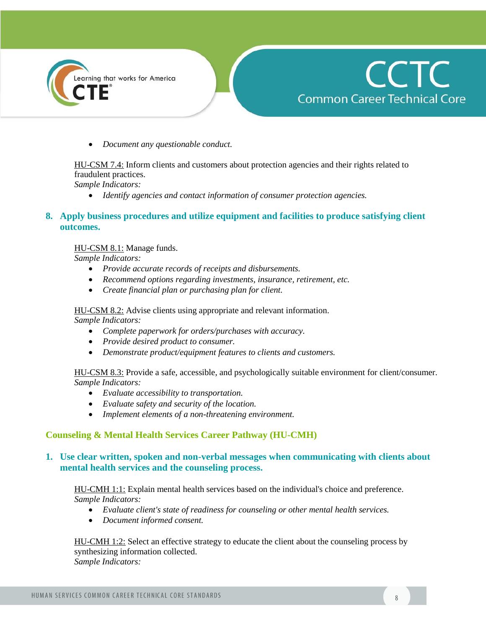



*Document any questionable conduct.*

HU-CSM 7.4: Inform clients and customers about protection agencies and their rights related to fraudulent practices.

*Sample Indicators:*

*Identify agencies and contact information of consumer protection agencies.*

## **8. Apply business procedures and utilize equipment and facilities to produce satisfying client outcomes.**

#### HU-CSM 8.1: Manage funds.

*Sample Indicators:*

- *Provide accurate records of receipts and disbursements.*
- *Recommend options regarding investments, insurance, retirement, etc.*
- *Create financial plan or purchasing plan for client.*

HU-CSM 8.2: Advise clients using appropriate and relevant information.

*Sample Indicators:*

- *Complete paperwork for orders/purchases with accuracy.*
- *Provide desired product to consumer.*
- *Demonstrate product/equipment features to clients and customers.*

HU-CSM 8.3: Provide a safe, accessible, and psychologically suitable environment for client/consumer. *Sample Indicators:*

- *Evaluate accessibility to transportation.*
- *Evaluate safety and security of the location.*
- *Implement elements of a non-threatening environment.*

## **Counseling & Mental Health Services Career Pathway (HU-CMH)**

#### **1. Use clear written, spoken and non-verbal messages when communicating with clients about mental health services and the counseling process.**

HU-CMH 1:1: Explain mental health services based on the individual's choice and preference. *Sample Indicators:*

- *Evaluate client's state of readiness for counseling or other mental health services.*
- *Document informed consent.*

HU-CMH 1:2: Select an effective strategy to educate the client about the counseling process by synthesizing information collected. *Sample Indicators:*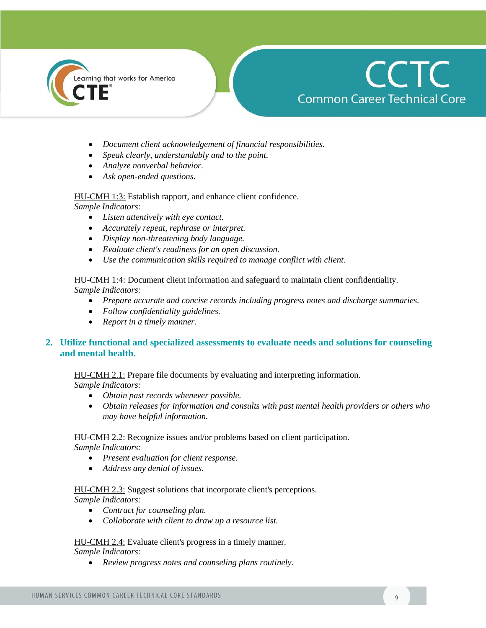

## **CCTC Common Career Technical Core**

- *Document client acknowledgement of financial responsibilities.*
- *Speak clearly, understandably and to the point.*
- *Analyze nonverbal behavior.*
- *Ask open-ended questions.*

HU-CMH 1:3: Establish rapport, and enhance client confidence.

*Sample Indicators:*

- *Listen attentively with eye contact.*
- *Accurately repeat, rephrase or interpret.*
- *Display non-threatening body language.*
- *Evaluate client's readiness for an open discussion.*
- *Use the communication skills required to manage conflict with client.*

HU-CMH 1:4: Document client information and safeguard to maintain client confidentiality.

*Sample Indicators:*

- *Prepare accurate and concise records including progress notes and discharge summaries.*
- *Follow confidentiality guidelines.*
- *Report in a timely manner.*

## **2. Utilize functional and specialized assessments to evaluate needs and solutions for counseling and mental health.**

HU-CMH 2.1: Prepare file documents by evaluating and interpreting information.

*Sample Indicators:*

- *Obtain past records whenever possible.*
- *Obtain releases for information and consults with past mental health providers or others who may have helpful information.*

## HU-CMH 2.2: Recognize issues and/or problems based on client participation.

*Sample Indicators:*

- *Present evaluation for client response.*
- *Address any denial of issues.*

## HU-CMH 2.3: Suggest solutions that incorporate client's perceptions.

*Sample Indicators:*

- *Contract for counseling plan.*
- *Collaborate with client to draw up a resource list.*

#### HU-CMH 2.4: Evaluate client's progress in a timely manner. *Sample Indicators:*

*Review progress notes and counseling plans routinely.*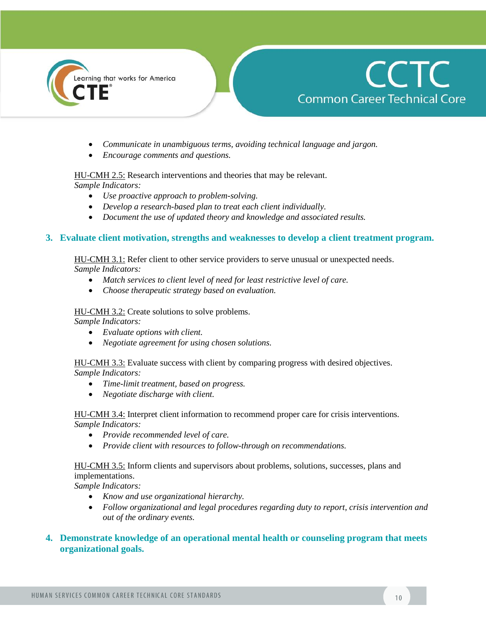



- *Communicate in unambiguous terms, avoiding technical language and jargon.*
- *Encourage comments and questions.*

#### HU-CMH 2.5: Research interventions and theories that may be relevant.

*Sample Indicators:*

- *Use proactive approach to problem-solving.*
- *Develop a research-based plan to treat each client individually.*
- *Document the use of updated theory and knowledge and associated results.*

#### **3. Evaluate client motivation, strengths and weaknesses to develop a client treatment program.**

HU-CMH 3.1: Refer client to other service providers to serve unusual or unexpected needs. *Sample Indicators:*

- *Match services to client level of need for least restrictive level of care.*
- *Choose therapeutic strategy based on evaluation.*

#### HU-CMH 3.2: Create solutions to solve problems.

*Sample Indicators:*

- *Evaluate options with client.*
- *Negotiate agreement for using chosen solutions.*

HU-CMH 3.3: Evaluate success with client by comparing progress with desired objectives. *Sample Indicators:*

- *Time-limit treatment, based on progress.*
- *Negotiate discharge with client.*

HU-CMH 3.4: Interpret client information to recommend proper care for crisis interventions. *Sample Indicators:*

- *Provide recommended level of care.*
- *Provide client with resources to follow-through on recommendations.*

#### HU-CMH 3.5: Inform clients and supervisors about problems, solutions, successes, plans and implementations.

*Sample Indicators:*

- *Know and use organizational hierarchy.*
- *Follow organizational and legal procedures regarding duty to report, crisis intervention and out of the ordinary events.*
- **4. Demonstrate knowledge of an operational mental health or counseling program that meets organizational goals.**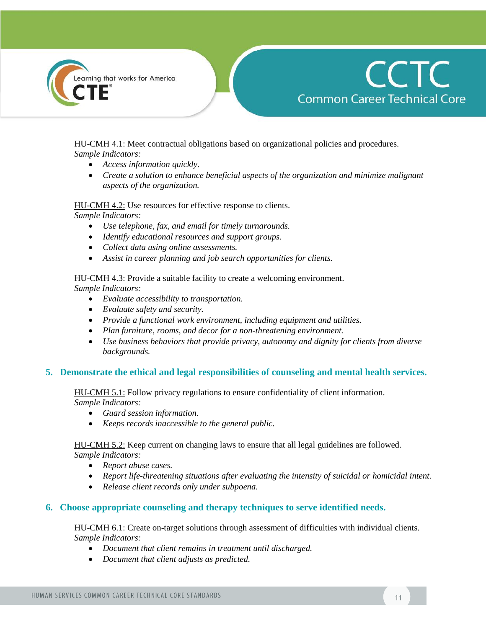

HU-CMH 4.1: Meet contractual obligations based on organizational policies and procedures. *Sample Indicators:*

- *Access information quickly.*
- *Create a solution to enhance beneficial aspects of the organization and minimize malignant aspects of the organization.*

HU-CMH 4.2: Use resources for effective response to clients.

*Sample Indicators:*

- *Use telephone, fax, and email for timely turnarounds.*
- *Identify educational resources and support groups.*
- *Collect data using online assessments.*
- *Assist in career planning and job search opportunities for clients.*

HU-CMH 4.3: Provide a suitable facility to create a welcoming environment.

*Sample Indicators:*

- *Evaluate accessibility to transportation.*
- *Evaluate safety and security.*
- *Provide a functional work environment, including equipment and utilities.*
- *Plan furniture, rooms, and decor for a non-threatening environment.*
- *Use business behaviors that provide privacy, autonomy and dignity for clients from diverse backgrounds.*

## **5. Demonstrate the ethical and legal responsibilities of counseling and mental health services.**

HU-CMH 5.1: Follow privacy regulations to ensure confidentiality of client information. *Sample Indicators:*

- *Guard session information.*
- *Keeps records inaccessible to the general public.*

HU-CMH 5.2: Keep current on changing laws to ensure that all legal guidelines are followed. *Sample Indicators:*

- *Report abuse cases.*
- *Report life-threatening situations after evaluating the intensity of suicidal or homicidal intent.*
- *Release client records only under subpoena.*

## **6. Choose appropriate counseling and therapy techniques to serve identified needs.**

HU-CMH 6.1: Create on-target solutions through assessment of difficulties with individual clients. *Sample Indicators:*

- *Document that client remains in treatment until discharged.*
- *Document that client adjusts as predicted.*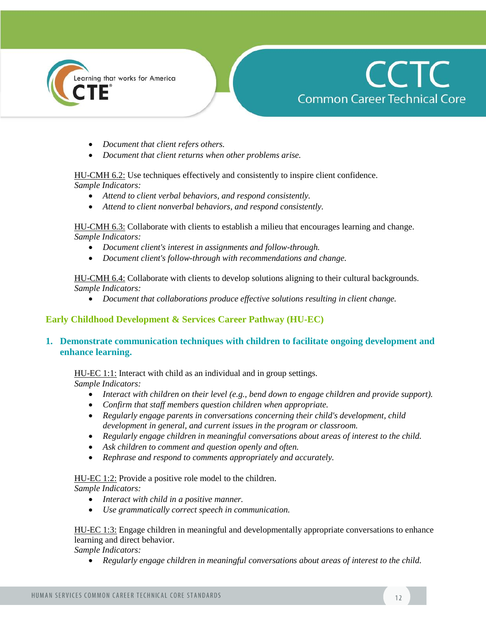



- *Document that client refers others.*
- *Document that client returns when other problems arise.*

HU-CMH 6.2: Use techniques effectively and consistently to inspire client confidence. *Sample Indicators:* 

- *Attend to client verbal behaviors, and respond consistently.*
- *Attend to client nonverbal behaviors, and respond consistently.*

HU-CMH 6.3: Collaborate with clients to establish a milieu that encourages learning and change. *Sample Indicators:* 

- *Document client's interest in assignments and follow-through.*
- *Document client's follow-through with recommendations and change.*

HU-CMH 6.4: Collaborate with clients to develop solutions aligning to their cultural backgrounds. *Sample Indicators:* 

*Document that collaborations produce effective solutions resulting in client change.*

#### **Early Childhood Development & Services Career Pathway (HU-EC)**

## **1. Demonstrate communication techniques with children to facilitate ongoing development and enhance learning.**

#### HU-EC 1:1: Interact with child as an individual and in group settings.

*Sample Indicators:*

- *Interact with children on their level (e.g., bend down to engage children and provide support).*
- *Confirm that staff members question children when appropriate.*
- *Regularly engage parents in conversations concerning their child's development, child development in general, and current issues in the program or classroom.*
- *Regularly engage children in meaningful conversations about areas of interest to the child.*
- *Ask children to comment and question openly and often.*
- *Rephrase and respond to comments appropriately and accurately.*

#### HU-EC 1:2: Provide a positive role model to the children.

*Sample Indicators:*

- *Interact with child in a positive manner.*
- *Use grammatically correct speech in communication.*

#### HU-EC 1:3: Engage children in meaningful and developmentally appropriate conversations to enhance learning and direct behavior.

*Sample Indicators:* 

*Regularly engage children in meaningful conversations about areas of interest to the child.*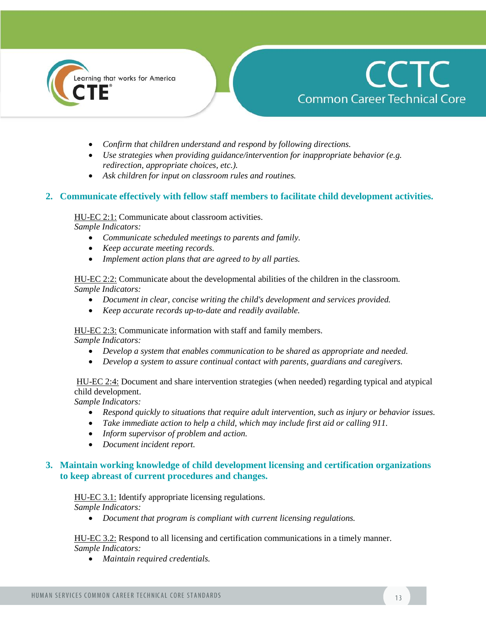



- *Confirm that children understand and respond by following directions.*
- *Use strategies when providing guidance/intervention for inappropriate behavior (e.g. redirection, appropriate choices, etc.).*
- *Ask children for input on classroom rules and routines.*

## **2. Communicate effectively with fellow staff members to facilitate child development activities.**

HU-EC 2:1: Communicate about classroom activities.

*Sample Indicators:* 

- *Communicate scheduled meetings to parents and family.*
- *Keep accurate meeting records.*
- *Implement action plans that are agreed to by all parties.*

HU-EC 2:2: Communicate about the developmental abilities of the children in the classroom. *Sample Indicators:* 

- *Document in clear, concise writing the child's development and services provided.*
- *Keep accurate records up-to-date and readily available.*

HU-EC 2:3: Communicate information with staff and family members. *Sample Indicators:* 

- *Develop a system that enables communication to be shared as appropriate and needed.*
- *Develop a system to assure continual contact with parents, guardians and caregivers.*

HU-EC 2:4: Document and share intervention strategies (when needed) regarding typical and atypical child development.

*Sample Indicators:* 

- *Respond quickly to situations that require adult intervention, such as injury or behavior issues.*
- *Take immediate action to help a child, which may include first aid or calling 911.*
- *Inform supervisor of problem and action.*
- *Document incident report.*

## **3. Maintain working knowledge of child development licensing and certification organizations to keep abreast of current procedures and changes.**

HU-EC 3.1: Identify appropriate licensing regulations.

*Sample Indicators:* 

*Document that program is compliant with current licensing regulations.* 

HU-EC 3.2: Respond to all licensing and certification communications in a timely manner. *Sample Indicators:* 

*Maintain required credentials.*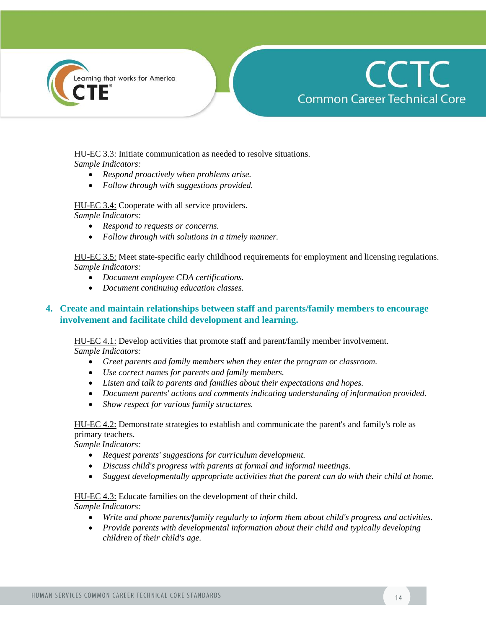



HU-EC 3.3: Initiate communication as needed to resolve situations. *Sample Indicators:* 

- *Respond proactively when problems arise.*
- *Follow through with suggestions provided.*

HU-EC 3.4: Cooperate with all service providers. *Sample Indicators:* 

- *Respond to requests or concerns.*
- *Follow through with solutions in a timely manner.*

HU-EC 3.5: Meet state-specific early childhood requirements for employment and licensing regulations. *Sample Indicators:* 

- *Document employee CDA certifications.*
- *Document continuing education classes.*

## **4. Create and maintain relationships between staff and parents/family members to encourage involvement and facilitate child development and learning.**

HU-EC 4.1: Develop activities that promote staff and parent/family member involvement. *Sample Indicators:* 

- *Greet parents and family members when they enter the program or classroom.*
- *Use correct names for parents and family members.*
- *Listen and talk to parents and families about their expectations and hopes.*
- *Document parents' actions and comments indicating understanding of information provided.*
- *Show respect for various family structures.*

HU-EC 4.2: Demonstrate strategies to establish and communicate the parent's and family's role as primary teachers.

*Sample Indicators:* 

- *Request parents' suggestions for curriculum development.*
- *Discuss child's progress with parents at formal and informal meetings.*
- *Suggest developmentally appropriate activities that the parent can do with their child at home.*

HU-EC 4.3: Educate families on the development of their child.

*Sample Indicators:* 

- *Write and phone parents/family regularly to inform them about child's progress and activities.*
- *Provide parents with developmental information about their child and typically developing children of their child's age.*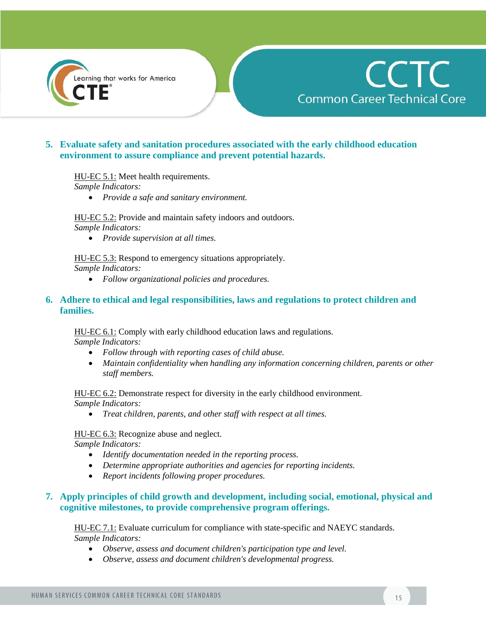



## **5. Evaluate safety and sanitation procedures associated with the early childhood education environment to assure compliance and prevent potential hazards.**

HU-EC 5.1: Meet health requirements.

*Sample Indicators:* 

*Provide a safe and sanitary environment.*

HU-EC 5.2: Provide and maintain safety indoors and outdoors. *Sample Indicators:* 

*Provide supervision at all times.*

HU-EC 5.3: Respond to emergency situations appropriately. *Sample Indicators:* 

*Follow organizational policies and procedures.*

### **6. Adhere to ethical and legal responsibilities, laws and regulations to protect children and families.**

HU-EC 6.1: Comply with early childhood education laws and regulations. *Sample Indicators:* 

- *Follow through with reporting cases of child abuse.*
- *Maintain confidentiality when handling any information concerning children, parents or other staff members.*

HU-EC 6.2: Demonstrate respect for diversity in the early childhood environment. *Sample Indicators:* 

*Treat children, parents, and other staff with respect at all times.* 

HU-EC 6.3: Recognize abuse and neglect. *Sample Indicators:* 

- *Identify documentation needed in the reporting process.*
- *Determine appropriate authorities and agencies for reporting incidents.*
- *Report incidents following proper procedures.*

## **7. Apply principles of child growth and development, including social, emotional, physical and cognitive milestones, to provide comprehensive program offerings.**

HU-EC 7.1: Evaluate curriculum for compliance with state-specific and NAEYC standards. *Sample Indicators:* 

- *Observe, assess and document children's participation type and level.*
- *Observe, assess and document children's developmental progress.*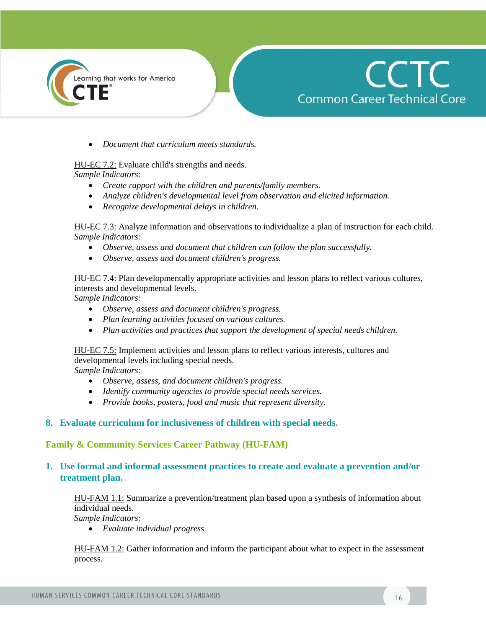



*Document that curriculum meets standards.*

## HU-EC 7.2: Evaluate child's strengths and needs.

*Sample Indicators:* 

- *Create rapport with the children and parents/family members.*
- *Analyze children's developmental level from observation and elicited information.*
- *Recognize developmental delays in children.*

HU-EC 7.3: Analyze information and observations to individualize a plan of instruction for each child. *Sample Indicators:* 

- *Observe, assess and document that children can follow the plan successfully.*
- *Observe, assess and document children's progress.*

HU-EC 7.4: Plan developmentally appropriate activities and lesson plans to reflect various cultures, interests and developmental levels.

*Sample Indicators:* 

- *Observe, assess and document children's progress.*
- *Plan learning activities focused on various cultures.*
- *Plan activities and practices that support the development of special needs children.*

HU-EC 7.5: Implement activities and lesson plans to reflect various interests, cultures and developmental levels including special needs.

*Sample Indicators:* 

- *Observe, assess, and document children's progress.*
- *Identify community agencies to provide special needs services.*
- *Provide books, posters, food and music that represent diversity.*

#### **8. Evaluate curriculum for inclusiveness of children with special needs.**

## **Family & Community Services Career Pathway (HU-FAM)**

## **1. Use formal and informal assessment practices to create and evaluate a prevention and/or treatment plan.**

HU-FAM 1.1: Summarize a prevention/treatment plan based upon a synthesis of information about individual needs.

*Sample Indicators:* 

*Evaluate individual progress.*

HU-FAM 1.2: Gather information and inform the participant about what to expect in the assessment process.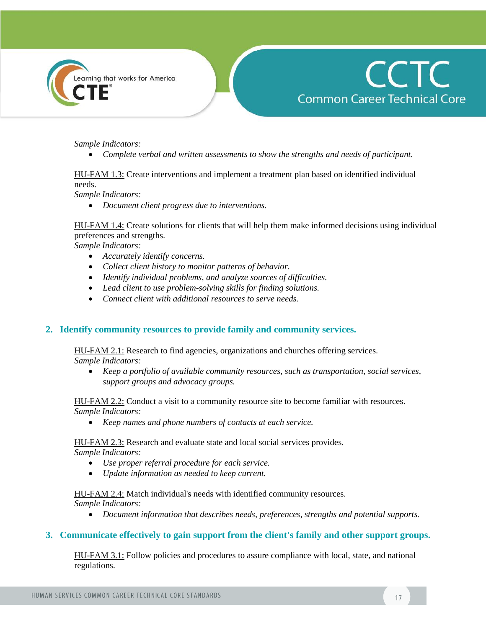



*Sample Indicators:* 

*Complete verbal and written assessments to show the strengths and needs of participant.*

## HU-FAM 1.3: Create interventions and implement a treatment plan based on identified individual needs.

*Sample Indicators:* 

*Document client progress due to interventions.*

HU-FAM 1.4: Create solutions for clients that will help them make informed decisions using individual preferences and strengths.

*Sample Indicators:* 

- *Accurately identify concerns.*
- *Collect client history to monitor patterns of behavior.*
- *Identify individual problems, and analyze sources of difficulties.*
- *Lead client to use problem-solving skills for finding solutions.*
- *Connect client with additional resources to serve needs.*

## **2. Identify community resources to provide family and community services.**

HU-FAM 2.1: Research to find agencies, organizations and churches offering services. *Sample Indicators:* 

 *Keep a portfolio of available community resources, such as transportation, social services, support groups and advocacy groups.*

HU-FAM 2.2: Conduct a visit to a community resource site to become familiar with resources. *Sample Indicators:* 

*Keep names and phone numbers of contacts at each service.*

HU-FAM 2.3: Research and evaluate state and local social services provides. *Sample Indicators:* 

- *Use proper referral procedure for each service.*
- *Update information as needed to keep current.*

HU-FAM 2.4: Match individual's needs with identified community resources. *Sample Indicators:* 

*Document information that describes needs, preferences, strengths and potential supports.*

#### **3. Communicate effectively to gain support from the client's family and other support groups.**

HU-FAM 3.1: Follow policies and procedures to assure compliance with local, state, and national regulations.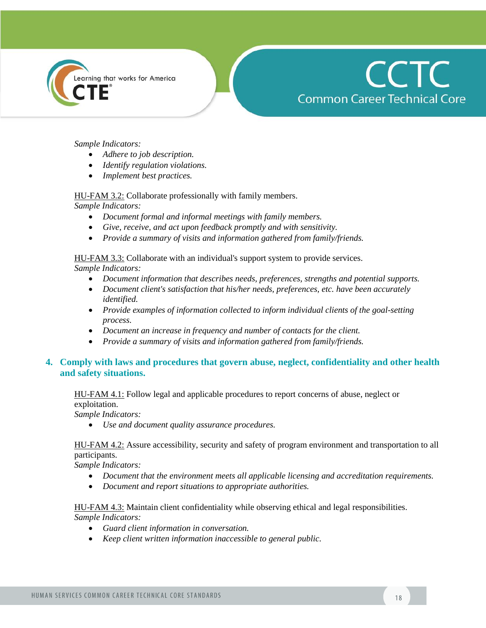



#### *Sample Indicators:*

- *Adhere to job description.*
- *Identify regulation violations.*
- *Implement best practices.*

#### HU-FAM 3.2: Collaborate professionally with family members.

*Sample Indicators:* 

- *Document formal and informal meetings with family members.*
- *Give, receive, and act upon feedback promptly and with sensitivity.*
- *Provide a summary of visits and information gathered from family/friends.*

#### HU-FAM 3.3: Collaborate with an individual's support system to provide services.

*Sample Indicators:* 

- *Document information that describes needs, preferences, strengths and potential supports.*
- *Document client's satisfaction that his/her needs, preferences, etc. have been accurately identified.*
- *Provide examples of information collected to inform individual clients of the goal-setting process.*
- *Document an increase in frequency and number of contacts for the client.*
- *Provide a summary of visits and information gathered from family/friends.*

## **4. Comply with laws and procedures that govern abuse, neglect, confidentiality and other health and safety situations.**

HU-FAM 4.1: Follow legal and applicable procedures to report concerns of abuse, neglect or exploitation.

*Sample Indicators:* 

*Use and document quality assurance procedures.*

#### HU-FAM 4.2: Assure accessibility, security and safety of program environment and transportation to all participants.

*Sample Indicators:* 

- *Document that the environment meets all applicable licensing and accreditation requirements.*
- *Document and report situations to appropriate authorities.*

#### HU-FAM 4.3: Maintain client confidentiality while observing ethical and legal responsibilities. *Sample Indicators:*

- *Guard client information in conversation.*
- *Keep client written information inaccessible to general public.*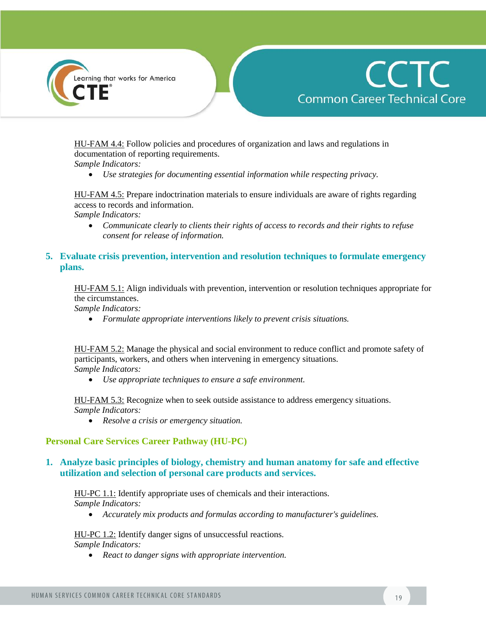



HU-FAM 4.4: Follow policies and procedures of organization and laws and regulations in documentation of reporting requirements.

*Sample Indicators:* 

*Use strategies for documenting essential information while respecting privacy.*

HU-FAM 4.5: Prepare indoctrination materials to ensure individuals are aware of rights regarding access to records and information.

*Sample Indicators:* 

 *Communicate clearly to clients their rights of access to records and their rights to refuse consent for release of information.*

## **5. Evaluate crisis prevention, intervention and resolution techniques to formulate emergency plans.**

HU-FAM 5.1: Align individuals with prevention, intervention or resolution techniques appropriate for the circumstances.

*Sample Indicators:* 

*Formulate appropriate interventions likely to prevent crisis situations.*

HU-FAM 5.2: Manage the physical and social environment to reduce conflict and promote safety of participants, workers, and others when intervening in emergency situations. *Sample Indicators:* 

*Use appropriate techniques to ensure a safe environment.* 

HU-FAM 5.3: Recognize when to seek outside assistance to address emergency situations. *Sample Indicators:* 

*Resolve a crisis or emergency situation.*

## **Personal Care Services Career Pathway (HU-PC)**

## **1. Analyze basic principles of biology, chemistry and human anatomy for safe and effective utilization and selection of personal care products and services.**

#### HU-PC 1.1: Identify appropriate uses of chemicals and their interactions. *Sample Indicators:*

*Accurately mix products and formulas according to manufacturer's guidelines.*

HU-PC 1.2: Identify danger signs of unsuccessful reactions. *Sample Indicators:* 

*React to danger signs with appropriate intervention.*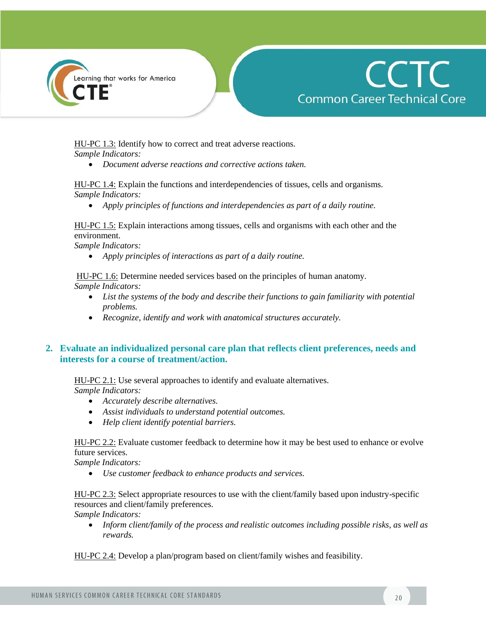



HU-PC 1.3: Identify how to correct and treat adverse reactions. *Sample Indicators:* 

*Document adverse reactions and corrective actions taken.*

HU-PC 1.4: Explain the functions and interdependencies of tissues, cells and organisms. *Sample Indicators:* 

*Apply principles of functions and interdependencies as part of a daily routine.* 

HU-PC 1.5: Explain interactions among tissues, cells and organisms with each other and the environment.

*Sample Indicators:*

*Apply principles of interactions as part of a daily routine.* 

HU-PC 1.6: Determine needed services based on the principles of human anatomy. *Sample Indicators:* 

- *List the systems of the body and describe their functions to gain familiarity with potential problems.*
- *Recognize, identify and work with anatomical structures accurately.*

## **2. Evaluate an individualized personal care plan that reflects client preferences, needs and interests for a course of treatment/action.**

HU-PC 2.1: Use several approaches to identify and evaluate alternatives. *Sample Indicators:* 

- *Accurately describe alternatives.*
- *Assist individuals to understand potential outcomes.*
- *Help client identify potential barriers.*

HU-PC 2.2: Evaluate customer feedback to determine how it may be best used to enhance or evolve future services.

*Sample Indicators:* 

*Use customer feedback to enhance products and services.*

HU-PC 2.3: Select appropriate resources to use with the client/family based upon industry-specific resources and client/family preferences.

*Sample Indicators:* 

 *Inform client/family of the process and realistic outcomes including possible risks, as well as rewards.*

HU-PC 2.4: Develop a plan/program based on client/family wishes and feasibility.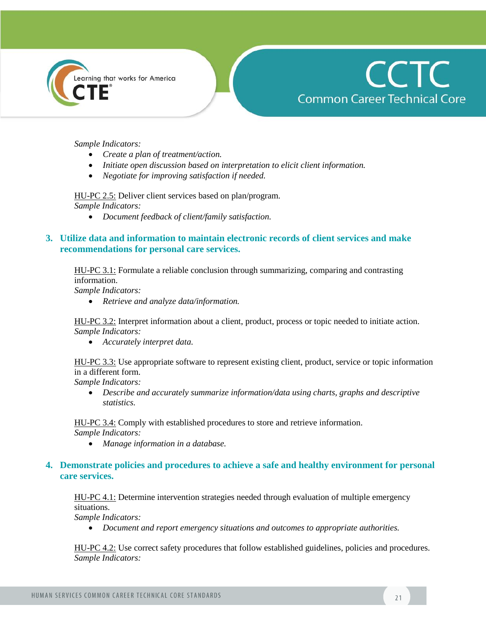



*Sample Indicators:* 

- *Create a plan of treatment/action.*
- *Initiate open discussion based on interpretation to elicit client information.*
- *Negotiate for improving satisfaction if needed.*

HU-PC 2.5: Deliver client services based on plan/program.

*Sample Indicators:* 

*Document feedback of client/family satisfaction.*

## **3. Utilize data and information to maintain electronic records of client services and make recommendations for personal care services.**

HU-PC 3.1: Formulate a reliable conclusion through summarizing, comparing and contrasting information.

*Sample Indicators:* 

*Retrieve and analyze data/information.*

HU-PC 3.2: Interpret information about a client, product, process or topic needed to initiate action. *Sample Indicators:* 

*Accurately interpret data.* 

HU-PC 3.3: Use appropriate software to represent existing client, product, service or topic information in a different form.

*Sample Indicators:* 

• Describe and accurately summarize information/data using charts, graphs and descriptive *statistics.*

HU-PC 3.4: Comply with established procedures to store and retrieve information.

*Sample Indicators:* 

*Manage information in a database.*

## **4. Demonstrate policies and procedures to achieve a safe and healthy environment for personal care services.**

HU-PC 4.1: Determine intervention strategies needed through evaluation of multiple emergency situations.

*Sample Indicators:* 

*Document and report emergency situations and outcomes to appropriate authorities.*

HU-PC 4.2: Use correct safety procedures that follow established guidelines, policies and procedures. *Sample Indicators:*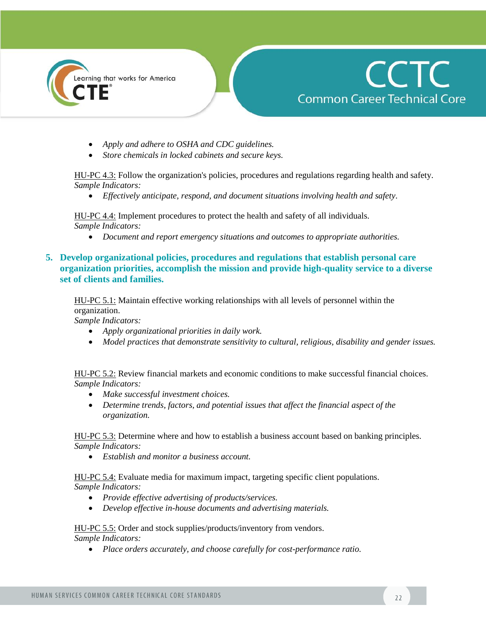

# **CCTC Common Career Technical Core**

- *Apply and adhere to OSHA and CDC guidelines.*
- *Store chemicals in locked cabinets and secure keys.*

HU-PC 4.3: Follow the organization's policies, procedures and regulations regarding health and safety. *Sample Indicators:* 

*Effectively anticipate, respond, and document situations involving health and safety.*

HU-PC 4.4: Implement procedures to protect the health and safety of all individuals. *Sample Indicators:* 

- *Document and report emergency situations and outcomes to appropriate authorities.*
- **5. Develop organizational policies, procedures and regulations that establish personal care organization priorities, accomplish the mission and provide high-quality service to a diverse set of clients and families.**

HU-PC 5.1: Maintain effective working relationships with all levels of personnel within the organization.

*Sample Indicators:* 

- *Apply organizational priorities in daily work.*
- *Model practices that demonstrate sensitivity to cultural, religious, disability and gender issues.*

HU-PC 5.2: Review financial markets and economic conditions to make successful financial choices. *Sample Indicators:* 

- *Make successful investment choices.*
- *Determine trends, factors, and potential issues that affect the financial aspect of the organization.*

HU-PC 5.3: Determine where and how to establish a business account based on banking principles. *Sample Indicators:* 

*Establish and monitor a business account.* 

HU-PC 5.4: Evaluate media for maximum impact, targeting specific client populations. *Sample Indicators:* 

- *Provide effective advertising of products/services.*
- *Develop effective in-house documents and advertising materials.*

#### HU-PC 5.5: Order and stock supplies/products/inventory from vendors. *Sample Indicators:*

*Place orders accurately, and choose carefully for cost-performance ratio.*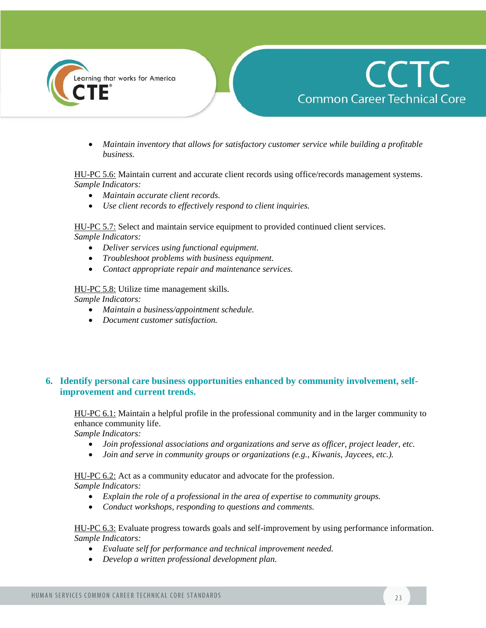



 *Maintain inventory that allows for satisfactory customer service while building a profitable business.*

#### HU-PC 5.6: Maintain current and accurate client records using office/records management systems. *Sample Indicators:*

- *Maintain accurate client records.*
- *Use client records to effectively respond to client inquiries.*

HU-PC 5.7: Select and maintain service equipment to provided continued client services. *Sample Indicators:* 

- *Deliver services using functional equipment.*
- *Troubleshoot problems with business equipment.*
- *Contact appropriate repair and maintenance services.*

HU-PC 5.8: Utilize time management skills. *Sample Indicators:* 

- *Maintain a business/appointment schedule.*
- *Document customer satisfaction.*

## **6. Identify personal care business opportunities enhanced by community involvement, selfimprovement and current trends.**

HU-PC 6.1: Maintain a helpful profile in the professional community and in the larger community to enhance community life.

*Sample Indicators:* 

- *Join professional associations and organizations and serve as officer, project leader, etc.*
- *Join and serve in community groups or organizations (e.g., Kiwanis, Jaycees, etc.).*

HU-PC 6.2: Act as a community educator and advocate for the profession. *Sample Indicators:* 

- *Explain the role of a professional in the area of expertise to community groups.*
- *Conduct workshops, responding to questions and comments.*

#### HU-PC 6.3: Evaluate progress towards goals and self-improvement by using performance information. *Sample Indicators:*

- *Evaluate self for performance and technical improvement needed.*
- *Develop a written professional development plan.*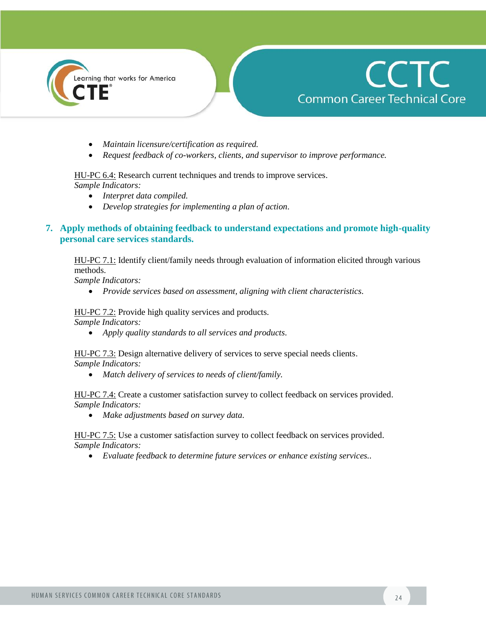



- *Maintain licensure/certification as required.*
- *Request feedback of co-workers, clients, and supervisor to improve performance.*

HU-PC 6.4: Research current techniques and trends to improve services.

*Sample Indicators:* 

- *Interpret data compiled.*
- *Develop strategies for implementing a plan of action.*

## **7. Apply methods of obtaining feedback to understand expectations and promote high-quality personal care services standards.**

HU-PC 7.1: Identify client/family needs through evaluation of information elicited through various methods.

*Sample Indicators:* 

*Provide services based on assessment, aligning with client characteristics.*

HU-PC 7.2: Provide high quality services and products.

*Sample Indicators:* 

*Apply quality standards to all services and products.*

HU-PC 7.3: Design alternative delivery of services to serve special needs clients. *Sample Indicators:* 

*Match delivery of services to needs of client/family.* 

HU-PC 7.4: Create a customer satisfaction survey to collect feedback on services provided. *Sample Indicators:* 

*Make adjustments based on survey data.*

HU-PC 7.5: Use a customer satisfaction survey to collect feedback on services provided. *Sample Indicators:* 

*Evaluate feedback to determine future services or enhance existing services..*